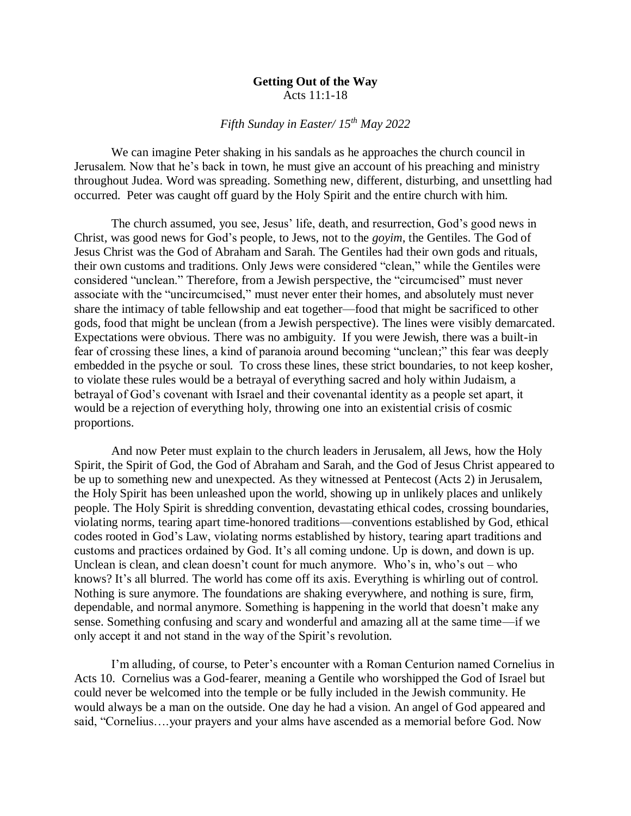## **Getting Out of the Way** Acts 11:1-18

## *Fifth Sunday in Easter/ 15th May 2022*

We can imagine Peter shaking in his sandals as he approaches the church council in Jerusalem. Now that he's back in town, he must give an account of his preaching and ministry throughout Judea. Word was spreading. Something new, different, disturbing, and unsettling had occurred. Peter was caught off guard by the Holy Spirit and the entire church with him.

The church assumed, you see, Jesus' life, death, and resurrection, God's good news in Christ, was good news for God's people, to Jews, not to the *goyim*, the Gentiles. The God of Jesus Christ was the God of Abraham and Sarah. The Gentiles had their own gods and rituals, their own customs and traditions. Only Jews were considered "clean," while the Gentiles were considered "unclean." Therefore, from a Jewish perspective, the "circumcised" must never associate with the "uncircumcised," must never enter their homes, and absolutely must never share the intimacy of table fellowship and eat together—food that might be sacrificed to other gods, food that might be unclean (from a Jewish perspective). The lines were visibly demarcated. Expectations were obvious. There was no ambiguity. If you were Jewish, there was a built-in fear of crossing these lines, a kind of paranoia around becoming "unclean;" this fear was deeply embedded in the psyche or soul. To cross these lines, these strict boundaries, to not keep kosher, to violate these rules would be a betrayal of everything sacred and holy within Judaism, a betrayal of God's covenant with Israel and their covenantal identity as a people set apart, it would be a rejection of everything holy, throwing one into an existential crisis of cosmic proportions.

And now Peter must explain to the church leaders in Jerusalem, all Jews, how the Holy Spirit, the Spirit of God, the God of Abraham and Sarah, and the God of Jesus Christ appeared to be up to something new and unexpected. As they witnessed at Pentecost (Acts 2) in Jerusalem, the Holy Spirit has been unleashed upon the world, showing up in unlikely places and unlikely people. The Holy Spirit is shredding convention, devastating ethical codes, crossing boundaries, violating norms, tearing apart time-honored traditions—conventions established by God, ethical codes rooted in God's Law, violating norms established by history, tearing apart traditions and customs and practices ordained by God. It's all coming undone. Up is down, and down is up. Unclean is clean, and clean doesn't count for much anymore. Who's in, who's out – who knows? It's all blurred. The world has come off its axis. Everything is whirling out of control. Nothing is sure anymore. The foundations are shaking everywhere, and nothing is sure, firm, dependable, and normal anymore. Something is happening in the world that doesn't make any sense. Something confusing and scary and wonderful and amazing all at the same time—if we only accept it and not stand in the way of the Spirit's revolution.

I'm alluding, of course, to Peter's encounter with a Roman Centurion named Cornelius in Acts 10. Cornelius was a God-fearer, meaning a Gentile who worshipped the God of Israel but could never be welcomed into the temple or be fully included in the Jewish community. He would always be a man on the outside. One day he had a vision. An angel of God appeared and said, "Cornelius….your prayers and your alms have ascended as a memorial before God. Now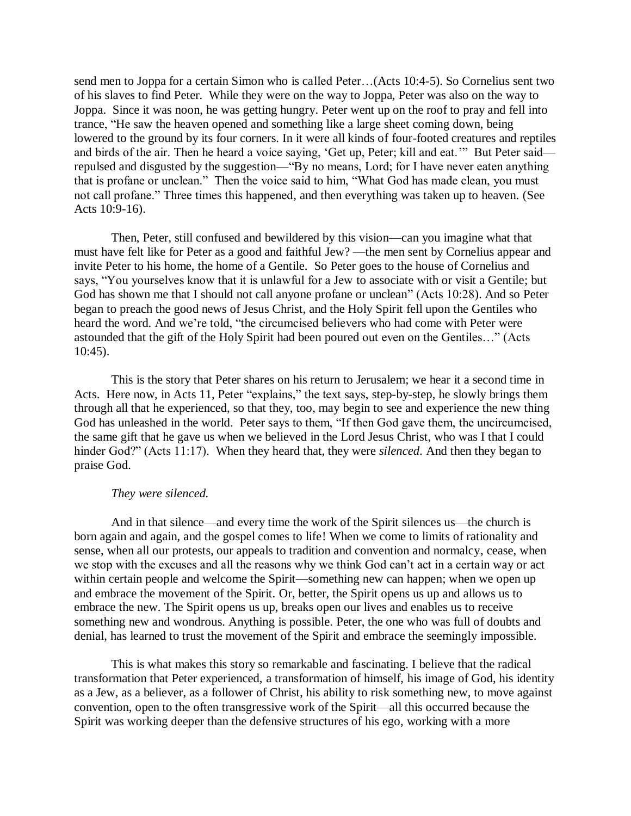send men to Joppa for a certain Simon who is called Peter…(Acts 10:4-5). So Cornelius sent two of his slaves to find Peter. While they were on the way to Joppa, Peter was also on the way to Joppa. Since it was noon, he was getting hungry. Peter went up on the roof to pray and fell into trance, "He saw the heaven opened and something like a large sheet coming down, being lowered to the ground by its four corners. In it were all kinds of four-footed creatures and reptiles and birds of the air. Then he heard a voice saying, 'Get up, Peter; kill and eat.'" But Peter said repulsed and disgusted by the suggestion—"By no means, Lord; for I have never eaten anything that is profane or unclean." Then the voice said to him, "What God has made clean, you must not call profane." Three times this happened, and then everything was taken up to heaven. (See Acts 10:9-16).

Then, Peter, still confused and bewildered by this vision—can you imagine what that must have felt like for Peter as a good and faithful Jew? —the men sent by Cornelius appear and invite Peter to his home, the home of a Gentile. So Peter goes to the house of Cornelius and says, "You yourselves know that it is unlawful for a Jew to associate with or visit a Gentile; but God has shown me that I should not call anyone profane or unclean" (Acts 10:28). And so Peter began to preach the good news of Jesus Christ, and the Holy Spirit fell upon the Gentiles who heard the word. And we're told, "the circumcised believers who had come with Peter were astounded that the gift of the Holy Spirit had been poured out even on the Gentiles…" (Acts 10:45).

This is the story that Peter shares on his return to Jerusalem; we hear it a second time in Acts. Here now, in Acts 11, Peter "explains," the text says, step-by-step, he slowly brings them through all that he experienced, so that they, too, may begin to see and experience the new thing God has unleashed in the world. Peter says to them, "If then God gave them, the uncircumcised, the same gift that he gave us when we believed in the Lord Jesus Christ, who was I that I could hinder God?" (Acts 11:17). When they heard that, they were *silenced*. And then they began to praise God.

## *They were silenced.*

And in that silence—and every time the work of the Spirit silences us—the church is born again and again, and the gospel comes to life! When we come to limits of rationality and sense, when all our protests, our appeals to tradition and convention and normalcy, cease, when we stop with the excuses and all the reasons why we think God can't act in a certain way or act within certain people and welcome the Spirit—something new can happen; when we open up and embrace the movement of the Spirit. Or, better, the Spirit opens us up and allows us to embrace the new. The Spirit opens us up, breaks open our lives and enables us to receive something new and wondrous. Anything is possible. Peter, the one who was full of doubts and denial, has learned to trust the movement of the Spirit and embrace the seemingly impossible.

This is what makes this story so remarkable and fascinating. I believe that the radical transformation that Peter experienced, a transformation of himself, his image of God, his identity as a Jew, as a believer, as a follower of Christ, his ability to risk something new, to move against convention, open to the often transgressive work of the Spirit—all this occurred because the Spirit was working deeper than the defensive structures of his ego, working with a more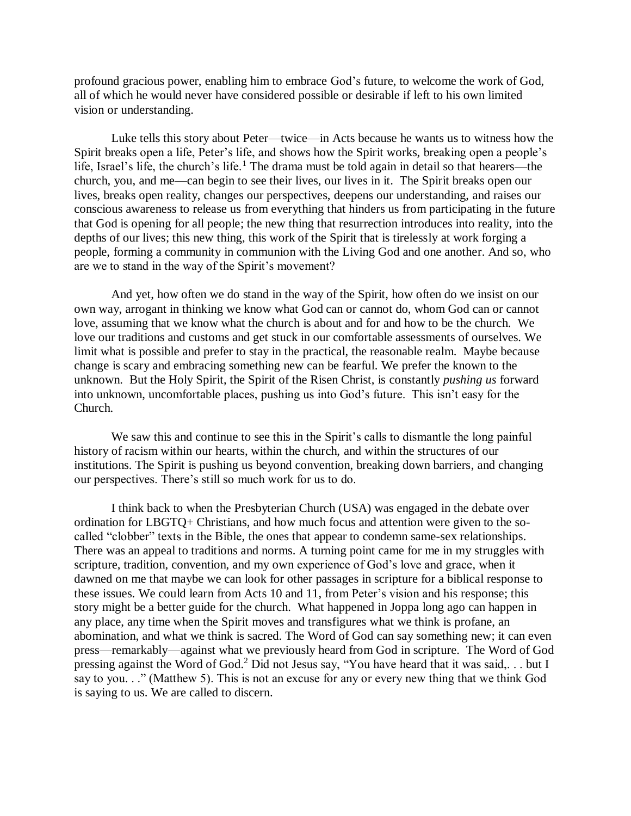profound gracious power, enabling him to embrace God's future, to welcome the work of God, all of which he would never have considered possible or desirable if left to his own limited vision or understanding.

Luke tells this story about Peter—twice—in Acts because he wants us to witness how the Spirit breaks open a life, Peter's life, and shows how the Spirit works, breaking open a people's life, Israel's life, the church's life.<sup>1</sup> The drama must be told again in detail so that hearers—the church, you, and me—can begin to see their lives, our lives in it. The Spirit breaks open our lives, breaks open reality, changes our perspectives, deepens our understanding, and raises our conscious awareness to release us from everything that hinders us from participating in the future that God is opening for all people; the new thing that resurrection introduces into reality, into the depths of our lives; this new thing, this work of the Spirit that is tirelessly at work forging a people, forming a community in communion with the Living God and one another. And so, who are we to stand in the way of the Spirit's movement?

And yet, how often we do stand in the way of the Spirit, how often do we insist on our own way, arrogant in thinking we know what God can or cannot do, whom God can or cannot love, assuming that we know what the church is about and for and how to be the church. We love our traditions and customs and get stuck in our comfortable assessments of ourselves. We limit what is possible and prefer to stay in the practical, the reasonable realm. Maybe because change is scary and embracing something new can be fearful. We prefer the known to the unknown. But the Holy Spirit, the Spirit of the Risen Christ, is constantly *pushing us* forward into unknown, uncomfortable places, pushing us into God's future. This isn't easy for the Church.

We saw this and continue to see this in the Spirit's calls to dismantle the long painful history of racism within our hearts, within the church, and within the structures of our institutions. The Spirit is pushing us beyond convention, breaking down barriers, and changing our perspectives. There's still so much work for us to do.

I think back to when the Presbyterian Church (USA) was engaged in the debate over ordination for LBGTQ+ Christians, and how much focus and attention were given to the socalled "clobber" texts in the Bible, the ones that appear to condemn same-sex relationships. There was an appeal to traditions and norms. A turning point came for me in my struggles with scripture, tradition, convention, and my own experience of God's love and grace, when it dawned on me that maybe we can look for other passages in scripture for a biblical response to these issues. We could learn from Acts 10 and 11, from Peter's vision and his response; this story might be a better guide for the church. What happened in Joppa long ago can happen in any place, any time when the Spirit moves and transfigures what we think is profane, an abomination, and what we think is sacred. The Word of God can say something new; it can even press—remarkably—against what we previously heard from God in scripture. The Word of God pressing against the Word of God.<sup>2</sup> Did not Jesus say, "You have heard that it was said,. . . but I say to you. . ." (Matthew 5). This is not an excuse for any or every new thing that we think God is saying to us. We are called to discern.